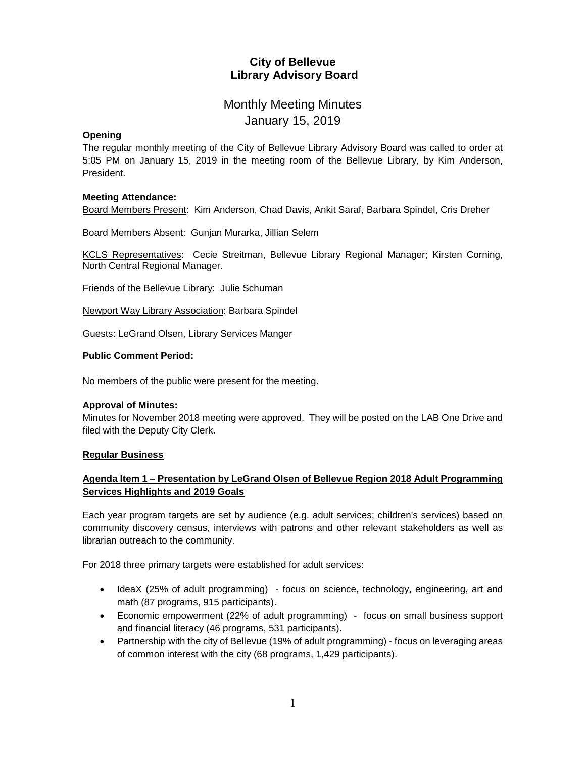## **City of Bellevue Library Advisory Board**

# Monthly Meeting Minutes January 15, 2019

### **Opening**

The regular monthly meeting of the City of Bellevue Library Advisory Board was called to order at 5:05 PM on January 15, 2019 in the meeting room of the Bellevue Library, by Kim Anderson, President.

### **Meeting Attendance:**

Board Members Present: Kim Anderson, Chad Davis, Ankit Saraf, Barbara Spindel, Cris Dreher

Board Members Absent: Gunjan Murarka, Jillian Selem

KCLS Representatives: Cecie Streitman, Bellevue Library Regional Manager; Kirsten Corning, North Central Regional Manager.

Friends of the Bellevue Library: Julie Schuman

Newport Way Library Association: Barbara Spindel

Guests: LeGrand Olsen, Library Services Manger

#### **Public Comment Period:**

No members of the public were present for the meeting.

### **Approval of Minutes:**

Minutes for November 2018 meeting were approved. They will be posted on the LAB One Drive and filed with the Deputy City Clerk.

### **Regular Business**

### **Agenda Item 1 – Presentation by LeGrand Olsen of Bellevue Region 2018 Adult Programming Services Highlights and 2019 Goals**

Each year program targets are set by audience (e.g. adult services; children's services) based on community discovery census, interviews with patrons and other relevant stakeholders as well as librarian outreach to the community.

For 2018 three primary targets were established for adult services:

- IdeaX (25% of adult programming) focus on science, technology, engineering, art and math (87 programs, 915 participants).
- Economic empowerment (22% of adult programming) focus on small business support and financial literacy (46 programs, 531 participants).
- Partnership with the city of Bellevue (19% of adult programming) focus on leveraging areas of common interest with the city (68 programs, 1,429 participants).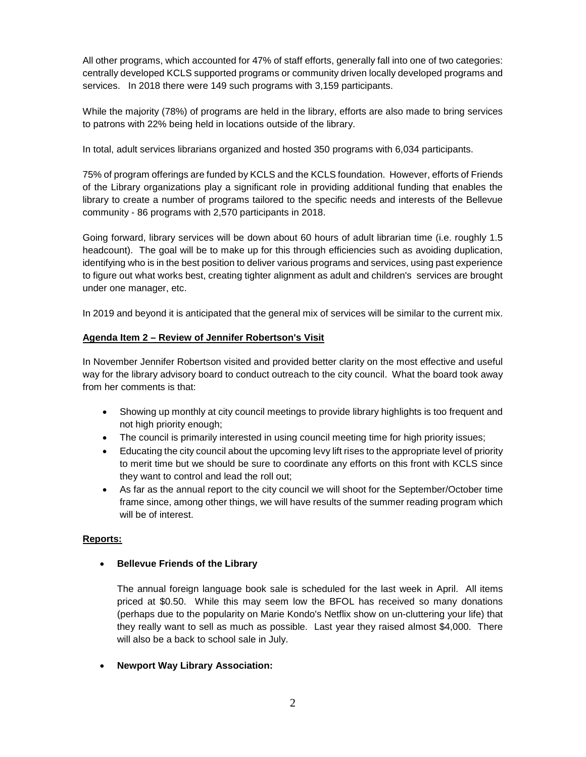All other programs, which accounted for 47% of staff efforts, generally fall into one of two categories: centrally developed KCLS supported programs or community driven locally developed programs and services. In 2018 there were 149 such programs with 3,159 participants.

While the majority (78%) of programs are held in the library, efforts are also made to bring services to patrons with 22% being held in locations outside of the library.

In total, adult services librarians organized and hosted 350 programs with 6,034 participants.

75% of program offerings are funded by KCLS and the KCLS foundation. However, efforts of Friends of the Library organizations play a significant role in providing additional funding that enables the library to create a number of programs tailored to the specific needs and interests of the Bellevue community - 86 programs with 2,570 participants in 2018.

Going forward, library services will be down about 60 hours of adult librarian time (i.e. roughly 1.5 headcount). The goal will be to make up for this through efficiencies such as avoiding duplication, identifying who is in the best position to deliver various programs and services, using past experience to figure out what works best, creating tighter alignment as adult and children's services are brought under one manager, etc.

In 2019 and beyond it is anticipated that the general mix of services will be similar to the current mix.

### **Agenda Item 2 – Review of Jennifer Robertson's Visit**

In November Jennifer Robertson visited and provided better clarity on the most effective and useful way for the library advisory board to conduct outreach to the city council. What the board took away from her comments is that:

- Showing up monthly at city council meetings to provide library highlights is too frequent and not high priority enough;
- The council is primarily interested in using council meeting time for high priority issues;
- Educating the city council about the upcoming levy lift rises to the appropriate level of priority to merit time but we should be sure to coordinate any efforts on this front with KCLS since they want to control and lead the roll out;
- As far as the annual report to the city council we will shoot for the September/October time frame since, among other things, we will have results of the summer reading program which will be of interest.

### **Reports:**

### **Bellevue Friends of the Library**

The annual foreign language book sale is scheduled for the last week in April. All items priced at \$0.50. While this may seem low the BFOL has received so many donations (perhaps due to the popularity on Marie Kondo's Netflix show on un-cluttering your life) that they really want to sell as much as possible. Last year they raised almost \$4,000. There will also be a back to school sale in July.

### **Newport Way Library Association:**